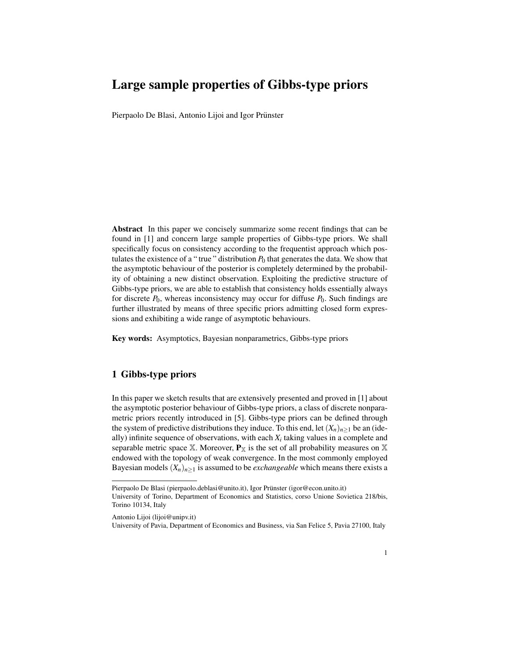## Large sample properties of Gibbs-type priors

Pierpaolo De Blasi, Antonio Lijoi and Igor Prünster

Abstract In this paper we concisely summarize some recent findings that can be found in [1] and concern large sample properties of Gibbs-type priors. We shall specifically focus on consistency according to the frequentist approach which postulates the existence of a "true" distribution  $P_0$  that generates the data. We show that the asymptotic behaviour of the posterior is completely determined by the probability of obtaining a new distinct observation. Exploiting the predictive structure of Gibbs-type priors, we are able to establish that consistency holds essentially always for discrete  $P_0$ , whereas inconsistency may occur for diffuse  $P_0$ . Such findings are further illustrated by means of three specific priors admitting closed form expressions and exhibiting a wide range of asymptotic behaviours.

Key words: Asymptotics, Bayesian nonparametrics, Gibbs-type priors

## 1 Gibbs-type priors

In this paper we sketch results that are extensively presented and proved in [1] about the asymptotic posterior behaviour of Gibbs-type priors, a class of discrete nonparametric priors recently introduced in [5]. Gibbs-type priors can be defined through the system of predictive distributions they induce. To this end, let  $(X_n)_{n\geq 1}$  be an (ideally) infinite sequence of observations, with each  $X_i$  taking values in a complete and separable metric space X. Moreover,  $P_X$  is the set of all probability measures on X endowed with the topology of weak convergence. In the most commonly employed Bayesian models  $(X_n)_{n\geq 1}$  is assumed to be *exchangeable* which means there exists a

Antonio Lijoi (lijoi@unipv.it)

Pierpaolo De Blasi (pierpaolo.deblasi@unito.it), Igor Prünster (igor@econ.unito.it) University of Torino, Department of Economics and Statistics, corso Unione Sovietica 218/bis, Torino 10134, Italy

University of Pavia, Department of Economics and Business, via San Felice 5, Pavia 27100, Italy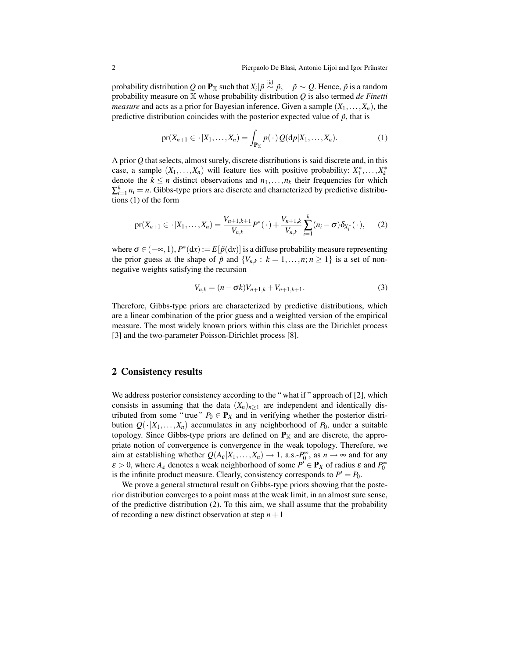probability distribution  $Q$  on  $\mathbf{P}_\mathbb{X}$  such that  $X_i | \tilde{p} \stackrel{\text{iid}}{\sim} \tilde{p}, \quad \tilde{p} \sim Q.$  Hence,  $\tilde{p}$  is a random probability measure on X whose probability distribution *Q* is also termed *de Finetti measure* and acts as a prior for Bayesian inference. Given a sample  $(X_1, \ldots, X_n)$ , the predictive distribution coincides with the posterior expected value of  $\tilde{p}$ , that is

$$
\text{pr}(X_{n+1}\in\cdot|X_1,\ldots,X_n)=\int_{\mathbf{P}_\mathbb{X}}p(\cdot)Q(\mathrm{d}p|X_1,\ldots,X_n). \hspace{1cm} (1)
$$

A prior *Q* that selects, almost surely, discrete distributions is said discrete and, in this case, a sample  $(X_1, \ldots, X_n)$  will feature ties with positive probability:  $X_1^*, \ldots, X_k^*$ denote the  $k \leq n$  distinct observations and  $n_1, \ldots, n_k$  their frequencies for which  $\sum_{i=1}^{k} n_i = n$ . Gibbs-type priors are discrete and characterized by predictive distributions (1) of the form

$$
\text{pr}(X_{n+1} \in \cdot | X_1, \dots, X_n) = \frac{V_{n+1,k+1}}{V_{n,k}} P^*(\cdot) + \frac{V_{n+1,k}}{V_{n,k}} \sum_{i=1}^k (n_i - \sigma) \delta_{X_i^*}(\cdot), \qquad (2)
$$

where  $\sigma \in (-\infty, 1)$ ,  $P^*(dx) := E[\tilde{p}(dx)]$  is a diffuse probability measure representing the prior guess at the shape of  $\tilde{p}$  and  $\{V_{n,k}: k = 1, \ldots, n; n \ge 1\}$  is a set of nonnegative weights satisfying the recursion

$$
V_{n,k} = (n - \sigma k)V_{n+1,k} + V_{n+1,k+1}.
$$
\n(3)

Therefore, Gibbs-type priors are characterized by predictive distributions, which are a linear combination of the prior guess and a weighted version of the empirical measure. The most widely known priors within this class are the Dirichlet process [3] and the two-parameter Poisson-Dirichlet process [8].

## 2 Consistency results

We address posterior consistency according to the "what if" approach of [2], which consists in assuming that the data  $(X_n)_{n>1}$  are independent and identically distributed from some "true"  $P_0 \in \mathbf{P}_X$  and in verifying whether the posterior distribution  $Q(\cdot|X_1,\ldots,X_n)$  accumulates in any neighborhood of  $P_0$ , under a suitable topology. Since Gibbs-type priors are defined on  $P_{\mathbb{X}}$  and are discrete, the appropriate notion of convergence is convergence in the weak topology. Therefore, we aim at establishing whether  $Q(A_{\varepsilon}|X_1,\ldots,X_n) \to 1$ , a.s.- $P_0^{\infty}$ , as  $n \to \infty$  and for any  $\varepsilon > 0$ , where  $A_{\varepsilon}$  denotes a weak neighborhood of some  $P^{\tilde{}} \in \mathbf{P}_X$  of radius  $\varepsilon$  and  $P_0^{\infty}$ is the infinite product measure. Clearly, consistency corresponds to  $P' = P_0$ .

We prove a general structural result on Gibbs-type priors showing that the posterior distribution converges to a point mass at the weak limit, in an almost sure sense, of the predictive distribution (2). To this aim, we shall assume that the probability of recording a new distinct observation at step  $n+1$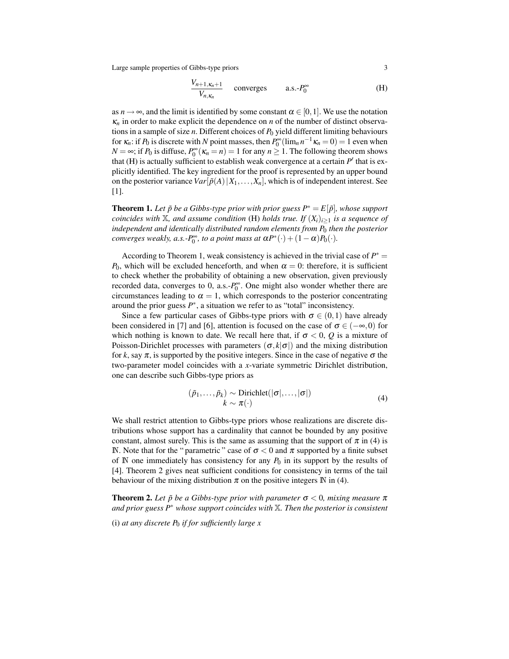Large sample properties of Gibbs-type priors 3

$$
\frac{V_{n+1,\kappa_n+1}}{V_{n,\kappa_n}}
$$
 converges a.s.- $P_0^{\infty}$  (H)

as  $n \to \infty$ , and the limit is identified by some constant  $\alpha \in [0,1]$ . We use the notation  $\kappa_n$  in order to make explicit the dependence on *n* of the number of distinct observations in a sample of size *n*. Different choices of *P*<sup>0</sup> yield different limiting behaviours for  $\kappa_n$ : if  $P_0$  is discrete with  $N$  point masses, then  $P_0^{\infty}(\lim_n n^{-1}\kappa_n = 0) = 1$  even when *N* =  $\infty$ ; if *P*<sup>0</sup> is diffuse,  $P_0^{\infty}$  ( $\kappa_n = n$ ) = 1 for any *n* ≥ 1. The following theorem shows that (H) is actually sufficient to establish weak convergence at a certain  $P'$  that is explicitly identified. The key ingredient for the proof is represented by an upper bound on the posterior variance  $Var[\tilde{p}(A) | X_1, \ldots, X_n]$ , which is of independent interest. See [1].

**Theorem 1.** Let  $\tilde{p}$  be a Gibbs-type prior with prior guess  $P^* = E[\tilde{p}]$ , whose support *coincides with*  $X$ *, and assume condition* (H) *holds true. If*  $(X_i)_{i>1}$  *is a sequence of independent and identically distributed random elements from P*<sup>0</sup> *then the posterior converges weakly, a.s.-P*<sup> $\infty$ </sup>, *to a point mass at*  $\alpha P^*(\cdot) + (1 - \alpha)P_0(\cdot)$ *.* 

According to Theorem 1, weak consistency is achieved in the trivial case of  $P^* =$ *P*<sub>0</sub>, which will be excluded henceforth, and when  $\alpha = 0$ : therefore, it is sufficient to check whether the probability of obtaining a new observation, given previously recorded data, converges to 0, a.s.-*P* ∞ 0 . One might also wonder whether there are circumstances leading to  $\alpha = 1$ , which corresponds to the posterior concentrating around the prior guess  $P^*$ , a situation we refer to as "total" inconsistency.

Since a few particular cases of Gibbs-type priors with  $\sigma \in (0,1)$  have already been considered in [7] and [6], attention is focused on the case of  $\sigma \in (-\infty,0)$  for which nothing is known to date. We recall here that, if  $\sigma < 0$ , Q is a mixture of Poisson-Dirichlet processes with parameters  $(\sigma, k | \sigma)$  and the mixing distribution for *k*, say  $\pi$ , is supported by the positive integers. Since in the case of negative  $\sigma$  the two-parameter model coincides with a *x*-variate symmetric Dirichlet distribution, one can describe such Gibbs-type priors as

$$
(\tilde{p}_1, \ldots, \tilde{p}_k) \sim \text{Dirichlet}(|\sigma|, \ldots, |\sigma|)
$$
  

$$
k \sim \pi(\cdot)
$$
 (4)

We shall restrict attention to Gibbs-type priors whose realizations are discrete distributions whose support has a cardinality that cannot be bounded by any positive constant, almost surely. This is the same as assuming that the support of  $\pi$  in (4) is N. Note that for the " parametric " case of  $\sigma < 0$  and  $\pi$  supported by a finite subset of  $\mathbb N$  one immediately has consistency for any  $P_0$  in its support by the results of [4]. Theorem 2 gives neat sufficient conditions for consistency in terms of the tail behaviour of the mixing distribution  $\pi$  on the positive integers N in (4).

**Theorem 2.** Let  $\tilde{p}$  be a Gibbs-type prior with parameter  $\sigma < 0$ , mixing measure  $\pi$ *and prior guess P*<sup>∗</sup> *whose support coincides with* X*. Then the posterior is consistent*

(i) *at any discrete P*<sup>0</sup> *if for sufficiently large x*